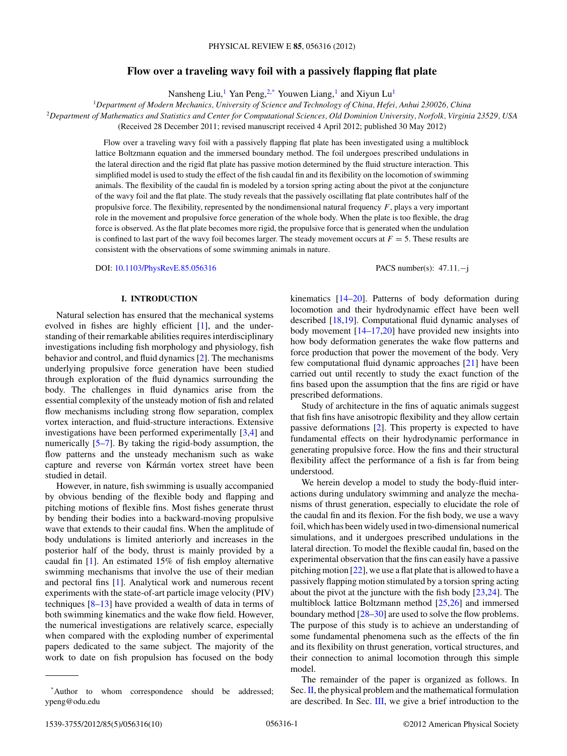# **Flow over a traveling wavy foil with a passively flapping flat plate**

Nansheng Liu,<sup>1</sup> Yan Peng,<sup>2,\*</sup> Youwen Liang,<sup>1</sup> and Xiyun Lu<sup>1</sup>

<sup>1</sup>*Department of Modern Mechanics, University of Science and Technology of China, Hefei, Anhui 230026, China* <sup>2</sup>*Department of Mathematics and Statistics and Center for Computational Sciences, Old Dominion University, Norfolk, Virginia 23529, USA*

(Received 28 December 2011; revised manuscript received 4 April 2012; published 30 May 2012)

Flow over a traveling wavy foil with a passively flapping flat plate has been investigated using a multiblock lattice Boltzmann equation and the immersed boundary method. The foil undergoes prescribed undulations in the lateral direction and the rigid flat plate has passive motion determined by the fluid structure interaction. This simplified model is used to study the effect of the fish caudal fin and its flexibility on the locomotion of swimming animals. The flexibility of the caudal fin is modeled by a torsion spring acting about the pivot at the conjuncture of the wavy foil and the flat plate. The study reveals that the passively oscillating flat plate contributes half of the propulsive force. The flexibility, represented by the nondimensional natural frequency  $F$ , plays a very important role in the movement and propulsive force generation of the whole body. When the plate is too flexible, the drag force is observed. As the flat plate becomes more rigid, the propulsive force that is generated when the undulation is confined to last part of the wavy foil becomes larger. The steady movement occurs at  $F = 5$ . These results are consistent with the observations of some swimming animals in nature.

DOI: [10.1103/PhysRevE.85.056316](http://dx.doi.org/10.1103/PhysRevE.85.056316) PACS number(s): 47*.*11*.*−j

## **I. INTRODUCTION**

Natural selection has ensured that the mechanical systems evolved in fishes are highly efficient [\[1\]](#page-8-0), and the understanding of their remarkable abilities requires interdisciplinary investigations including fish morphology and physiology, fish behavior and control, and fluid dynamics [\[2\]](#page-8-0). The mechanisms underlying propulsive force generation have been studied through exploration of the fluid dynamics surrounding the body. The challenges in fluid dynamics arise from the essential complexity of the unsteady motion of fish and related flow mechanisms including strong flow separation, complex vortex interaction, and fluid-structure interactions. Extensive investigations have been performed experimentally [\[3,4\]](#page-8-0) and numerically [\[5–7\]](#page-8-0). By taking the rigid-body assumption, the flow patterns and the unsteady mechanism such as wake capture and reverse von Kármán vortex street have been studied in detail.

However, in nature, fish swimming is usually accompanied by obvious bending of the flexible body and flapping and pitching motions of flexible fins. Most fishes generate thrust by bending their bodies into a backward-moving propulsive wave that extends to their caudal fins. When the amplitude of body undulations is limited anteriorly and increases in the posterior half of the body, thrust is mainly provided by a caudal fin [\[1\]](#page-8-0). An estimated 15% of fish employ alternative swimming mechanisms that involve the use of their median and pectoral fins [\[1\]](#page-8-0). Analytical work and numerous recent experiments with the state-of-art particle image velocity (PIV) techniques  $[8-13]$  have provided a wealth of data in terms of both swimming kinematics and the wake flow field. However, the numerical investigations are relatively scarce, especially when compared with the exploding number of experimental papers dedicated to the same subject. The majority of the work to date on fish propulsion has focused on the body

kinematics [\[14–20\]](#page-8-0). Patterns of body deformation during locomotion and their hydrodynamic effect have been well described [\[18,19\]](#page-8-0). Computational fluid dynamic analyses of body movement [\[14–17,20\]](#page-8-0) have provided new insights into how body deformation generates the wake flow patterns and force production that power the movement of the body. Very few computational fluid dynamic approaches [\[21\]](#page-8-0) have been carried out until recently to study the exact function of the fins based upon the assumption that the fins are rigid or have prescribed deformations.

Study of architecture in the fins of aquatic animals suggest that fish fins have anisotropic flexibility and they allow certain passive deformations [\[2\]](#page-8-0). This property is expected to have fundamental effects on their hydrodynamic performance in generating propulsive force. How the fins and their structural flexibility affect the performance of a fish is far from being understood.

We herein develop a model to study the body-fluid interactions during undulatory swimming and analyze the mechanisms of thrust generation, especially to elucidate the role of the caudal fin and its flexion. For the fish body, we use a wavy foil, which has been widely used in two-dimensional numerical simulations, and it undergoes prescribed undulations in the lateral direction. To model the flexible caudal fin, based on the experimental observation that the fins can easily have a passive pitching motion [\[22\]](#page-8-0), we use a flat plate that is allowed to have a passively flapping motion stimulated by a torsion spring acting about the pivot at the juncture with the fish body [\[23,24\]](#page-8-0). The multiblock lattice Boltzmann method [\[25,26\]](#page-8-0) and immersed boundary method [\[28–30\]](#page-8-0) are used to solve the flow problems. The purpose of this study is to achieve an understanding of some fundamental phenomena such as the effects of the fin and its flexibility on thrust generation, vortical structures, and their connection to animal locomotion through this simple model.

The remainder of the paper is organized as follows. In Sec.  $\mathbf{II}$ , the physical problem and the mathematical formulation are described. In Sec. [III,](#page-1-0) we give a brief introduction to the

<sup>\*</sup>Author to whom correspondence should be addressed; ypeng@odu.edu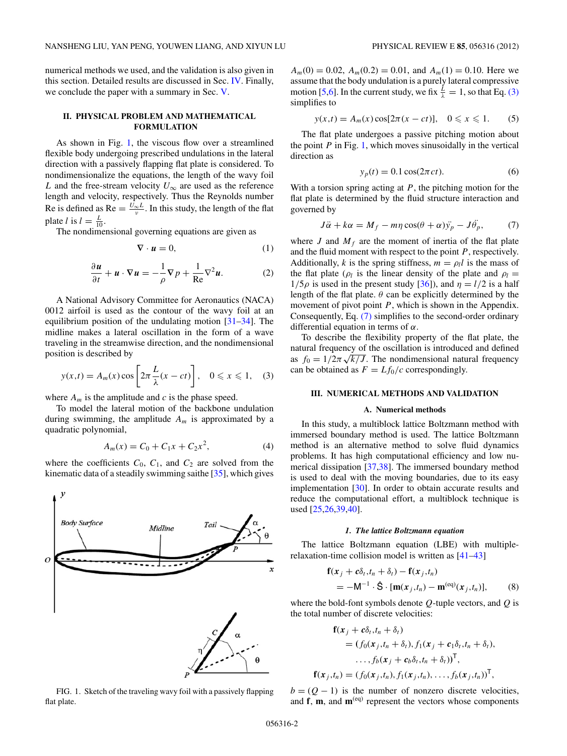<span id="page-1-0"></span>numerical methods we used, and the validation is also given in this section. Detailed results are discussed in Sec. [IV.](#page-3-0) Finally, we conclude the paper with a summary in Sec. [V.](#page-7-0)

## **II. PHYSICAL PROBLEM AND MATHEMATICAL FORMULATION**

As shown in Fig. 1, the viscous flow over a streamlined flexible body undergoing prescribed undulations in the lateral direction with a passively flapping flat plate is considered. To nondimensionalize the equations, the length of the wavy foil *L* and the free-stream velocity  $U_{\infty}$  are used as the reference length and velocity, respectively. Thus the Reynolds number Re is defined as Re  $=\frac{U_{\infty}L}{v}$ . In this study, the length of the flat plate *l* is  $l = \frac{L}{10}$ .

The nondimensional governing equations are given as

$$
\nabla \cdot \mathbf{u} = 0,\tag{1}
$$

$$
\frac{\partial u}{\partial t} + u \cdot \nabla u = -\frac{1}{\rho} \nabla p + \frac{1}{\text{Re}} \nabla^2 u.
$$
 (2)

A National Advisory Committee for Aeronautics (NACA) 0012 airfoil is used as the contour of the wavy foil at an equilibrium position of the undulating motion [\[31–34\]](#page-8-0). The midline makes a lateral oscillation in the form of a wave traveling in the streamwise direction, and the nondimensional position is described by

$$
y(x,t) = A_m(x)\cos\left[2\pi\frac{L}{\lambda}(x-ct)\right], \quad 0 \le x \le 1, \quad (3)
$$

where  $A_m$  is the amplitude and  $c$  is the phase speed.

To model the lateral motion of the backbone undulation during swimming, the amplitude *Am* is approximated by a quadratic polynomial,

$$
A_m(x) = C_0 + C_1 x + C_2 x^2, \tag{4}
$$

where the coefficients  $C_0$ ,  $C_1$ , and  $C_2$  are solved from the kinematic data of a steadily swimming saithe [\[35\]](#page-8-0), which gives



FIG. 1. Sketch of the traveling wavy foil with a passively flapping flat plate.

 $A_m(0) = 0.02$ ,  $A_m(0.2) = 0.01$ , and  $A_m(1) = 0.10$ . Here we assume that the body undulation is a purely lateral compressive motion [\[5,6\]](#page-8-0). In the current study, we fix  $\frac{\dot{L}}{\lambda} = 1$ , so that Eq. (3) simplifies to

$$
y(x,t) = A_m(x) \cos[2\pi(x-ct)], \quad 0 \le x \le 1.
$$
 (5)

The flat plate undergoes a passive pitching motion about the point  $P$  in Fig. 1, which moves sinusoidally in the vertical direction as

$$
y_p(t) = 0.1 \cos(2\pi ct). \tag{6}
$$

With a torsion spring acting at *P*, the pitching motion for the flat plate is determined by the fluid structure interaction and governed by

$$
J\ddot{\alpha} + k\alpha = M_f - m\eta \cos(\theta + \alpha)\ddot{y}_p - J\ddot{\theta_p},\qquad(7)
$$

where *J* and  $M_f$  are the moment of inertia of the flat plate and the fluid moment with respect to the point *P*, respectively. Additionally, *k* is the spring stiffness,  $m = \rho_l l$  is the mass of the flat plate ( $\rho_l$  is the linear density of the plate and  $\rho_l =$  $1/5\rho$  is used in the present study [\[36\]](#page-8-0)), and  $\eta = l/2$  is a half length of the flat plate.  $\theta$  can be explicitly determined by the movement of pivot point *P*, which is shown in the Appendix. Consequently, Eq. (7) simplifies to the second-order ordinary differential equation in terms of *α*.

To describe the flexibility property of the flat plate, the natural frequency of the oscillation is introduced and defined matural frequency of the oscillation is introduced and defined<br>as  $f_0 = 1/2\pi\sqrt{k/J}$ . The nondimensional natural frequency can be obtained as  $F = Lf_0/c$  correspondingly.

### **III. NUMERICAL METHODS AND VALIDATION**

### **A. Numerical methods**

In this study, a multiblock lattice Boltzmann method with immersed boundary method is used. The lattice Boltzmann method is an alternative method to solve fluid dynamics problems. It has high computational efficiency and low numerical dissipation [\[37,38\]](#page-8-0). The immersed boundary method is used to deal with the moving boundaries, due to its easy implementation [\[30\]](#page-8-0). In order to obtain accurate results and reduce the computational effort, a multiblock technique is used [\[25,26,39,40\]](#page-8-0).

#### *1. The lattice Boltzmann equation*

The lattice Boltzmann equation (LBE) with multiplerelaxation-time collision model is written as [\[41](#page-8-0)[–43\]](#page-9-0)

$$
\mathbf{f}(x_j + c\delta_t, t_n + \delta_t) - \mathbf{f}(x_j, t_n)
$$
  
= -M<sup>-1</sup> ·  $\hat{\mathbf{S}} \cdot [\mathbf{m}(x_j, t_n) - \mathbf{m}^{(\text{eq})}(x_j, t_n)],$  (8)

where the bold-font symbols denote *Q*-tuple vectors, and *Q* is the total number of discrete velocities:

$$
\mathbf{f}(\mathbf{x}_j + c\delta_t, t_n + \delta_t)
$$
  
=  $(f_0(\mathbf{x}_j, t_n + \delta_t), f_1(\mathbf{x}_j + c_1\delta_t, t_n + \delta_t),$   
 $\dots, f_b(\mathbf{x}_j + c_b\delta_t, t_n + \delta_t))^\mathsf{T},$   

$$
\mathbf{f}(\mathbf{x}_j, t_n) = (f_0(\mathbf{x}_j, t_n), f_1(\mathbf{x}_j, t_n), \dots, f_b(\mathbf{x}_j, t_n))^\mathsf{T},
$$

 $b = (Q - 1)$  is the number of nonzero discrete velocities, and **f**, **m**, and **m**(eq) represent the vectors whose components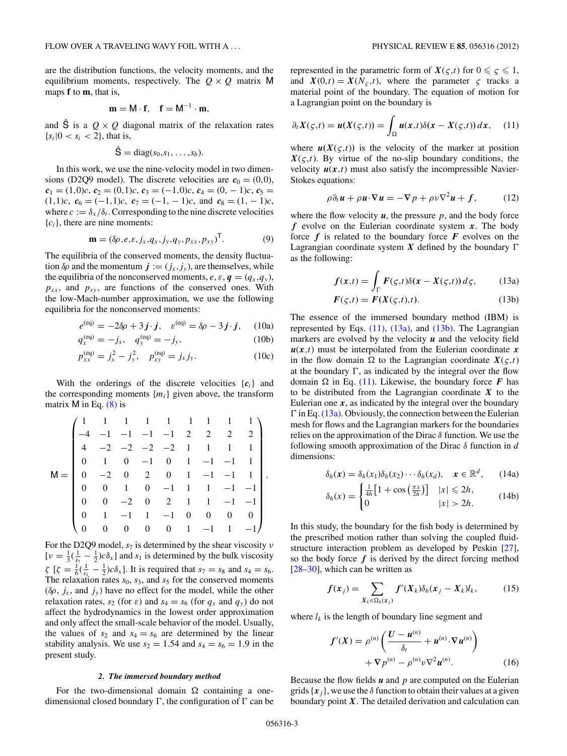are the distribution functions, the velocity moments, and the equilibrium moments, respectively. The  $Q \times Q$  matrix M maps **f** to **m**, that is,

$$
\mathbf{m} = \mathsf{M} \cdot \mathbf{f}, \quad \mathbf{f} = \mathsf{M}^{-1} \cdot \mathbf{m},
$$

and  $\hat{S}$  is a  $Q \times Q$  diagonal matrix of the relaxation rates  ${s_i | 0 < s_i < 2}$ , that is,

$$
\hat{S} = \text{diag}(s_0, s_1, \ldots, s_b).
$$

In this work, we use the nine-velocity model in two dimensions (D2Q9 model). The discrete velocities are  $c_0 = (0,0)$ ,  $c_1 = (1,0)c, c_2 = (0,1)c, c_3 = (-1,0)c, c_4 = (0,-1)c, c_5 =$  $(1,1)c$ ,  $c_6 = (-1,1)c$ ,  $c_7 = (-1,-1)c$ , and  $c_8 = (1,-1)c$ , where  $c := \delta_x / \delta_t$ . Corresponding to the nine discrete velocities  ${c_i}$ , there are nine moments:

$$
\mathbf{m} = (\delta \rho, e, \varepsilon, j_x, q_x, j_y, q_y, p_{xx}, p_{xy})^{\mathsf{T}}.
$$
 (9)

The equilibria of the conserved moments, the density fluctuation  $\delta \rho$  and the momentum  $\mathbf{j} := (j_x, j_y)$ , are themselves, while the equilibria of the nonconserved moments,  $e$ ,  $\varepsilon$ ,  $q = (q_x, q_y)$ ,  $p_{xx}$ , and  $p_{xy}$ , are functions of the conserved ones. With the low-Mach-number approximation, we use the following equilibria for the nonconserved moments:

$$
e^{(\text{eq})} = -2\delta\rho + 3\,\mathbf{j} \cdot \mathbf{j}, \quad \varepsilon^{(\text{eq})} = \delta\rho - 3\,\mathbf{j} \cdot \mathbf{j}, \quad (10a)
$$

$$
q_x^{(eq)} = -j_x, \quad q_y^{(eq)} = -j_y,\tag{10b}
$$

$$
p_{xx}^{\text{(eq)}} = j_x^2 - j_y^2, \quad p_{xy}^{\text{(eq)}} = j_x j_y. \tag{10c}
$$

With the orderings of the discrete velocities  ${c_i}$  and the corresponding moments  ${m_i}$  given above, the transform matrix  $M$  in Eq.  $(8)$  is

$$
\mathsf{M} = \begin{pmatrix}\n1 & 1 & 1 & 1 & 1 & 1 & 1 & 1 & 1 \\
-4 & -1 & -1 & -1 & -1 & 2 & 2 & 2 & 2 \\
4 & -2 & -2 & -2 & -2 & 1 & 1 & 1 & 1 \\
0 & 1 & 0 & -1 & 0 & 1 & -1 & -1 & 1 \\
0 & -2 & 0 & 2 & 0 & 1 & -1 & -1 & 1 \\
0 & 0 & 1 & 0 & -1 & 1 & 1 & -1 & -1 \\
0 & 0 & -2 & 0 & 2 & 1 & 1 & -1 & -1 \\
0 & 1 & -1 & 1 & -1 & 0 & 0 & 0 & 0 \\
0 & 0 & 0 & 0 & 0 & 1 & -1 & 1 & -1\n\end{pmatrix}
$$

For the D2Q9 model, *s*<sup>7</sup> is determined by the shear viscosity *ν*  $[\nu = \frac{1}{3}(\frac{1}{s_7} - \frac{1}{2})c\delta_x]$  and  $s_1$  is determined by the bulk viscosity  $\zeta$  [ $\zeta = \frac{1}{6}(\frac{1}{s_1} - \frac{1}{2})c\delta_x$ ]. It is required that  $s_7 = s_8$  and  $s_4 = s_6$ . The relaxation rates  $s_0$ ,  $s_3$ , and  $s_5$  for the conserved moments  $(\delta \rho, j_x, \text{ and } j_y)$  have no effect for the model, while the other relaxation rates,  $s_2$  (for  $\varepsilon$ ) and  $s_4 = s_6$  (for  $q_x$  and  $q_y$ ) do not affect the hydrodynamics in the lowest order approximation and only affect the small-scale behavior of the model. Usually, the values of  $s_2$  and  $s_4 = s_6$  are determined by the linear stability analysis. We use  $s_2 = 1.54$  and  $s_4 = s_6 = 1.9$  in the present study.

## *2. The immersed boundary method*

For the two-dimensional domain  $\Omega$  containing a onedimensional closed boundary  $\Gamma$ , the configuration of  $\Gamma$  can be

represented in the parametric form of  $X(\varsigma,t)$  for  $0 \leq \varsigma \leq 1$ , and  $X(0,t) = X(N<sub>\varsigma</sub>,t)$ , where the parameter  $\varsigma$  tracks a material point of the boundary. The equation of motion for a Lagrangian point on the boundary is

$$
\partial_t X(\varsigma,t) = u(X(\varsigma,t)) = \int_{\Omega} u(x,t) \delta(x - X(\varsigma,t)) \, dx, \tag{11}
$$

where  $u(X(\varsigma,t))$  is the velocity of the marker at position  $X(\varsigma,t)$ . By virtue of the no-slip boundary conditions, the velocity  $u(x,t)$  must also satisfy the incompressible Navier-Stokes equations:

$$
\rho \partial_t \mathbf{u} + \rho \mathbf{u} \cdot \nabla \mathbf{u} = -\nabla p + \rho v \nabla^2 \mathbf{u} + f, \qquad (12)
$$

where the flow velocity  $u$ , the pressure  $p$ , and the body force *f* evolve on the Eulerian coordinate system *x*. The body force  $f$  is related to the boundary force  $F$  evolves on the Lagrangian coordinate system  $X$  defined by the boundary  $\Gamma$ as the following:

$$
f(x,t) = \int_{\Gamma} F(\varsigma, t) \delta(x - X(\varsigma, t)) d\varsigma, \qquad (13a)
$$

$$
F(\varsigma,t) = F(X(\varsigma,t),t). \tag{13b}
$$

The essence of the immersed boundary method (IBM) is represented by Eqs. (11), (13a), and (13b). The Lagrangian markers are evolved by the velocity  $u$  and the velocity field  $u(x,t)$  must be interpolated from the Eulerian coordinate x in the flow domain  $\Omega$  to the Lagrangian coordinate  $X(\varsigma,t)$ at the boundary  $\Gamma$ , as indicated by the integral over the flow domain  $\Omega$  in Eq. (11). Likewise, the boundary force *F* has to be distributed from the Lagrangian coordinate *X* to the Eulerian one  $x$ , as indicated by the integral over the boundary  $\Gamma$  in Eq. (13a). Obviously, the connection between the Eulerian mesh for flows and the Lagrangian markers for the boundaries relies on the approximation of the Dirac *δ* function. We use the following smooth approximation of the Dirac *δ* function in *d* dimensions:

$$
\delta_h(\mathbf{x}) = \delta_h(x_1)\delta_h(x_2)\cdots\delta_h(x_d), \quad \mathbf{x} \in \mathbb{R}^d, \qquad (14a)
$$

$$
\delta_h(x) = \begin{cases} \frac{1}{4h} \left[ 1 + \cos\left(\frac{\pi x}{2h}\right) \right] & |x| \le 2h, \\ 0 & |x| > 2h. \end{cases} \tag{14b}
$$

In this study, the boundary for the fish body is determined by the prescribed motion rather than solving the coupled fluidstructure interaction problem as developed by Peskin [\[27\]](#page-8-0), so the body force  $f$  is derived by the direct forcing method  $[28-30]$ , which can be written as

$$
f(x_j) = \sum_{X_k \in \Omega_h(x_j)} f'(X_k) \delta_h(x_j - X_k) l_k, \qquad (15)
$$

where  $l_k$  is the length of boundary line segment and

$$
f'(X) = \rho^{(n)} \left( \frac{U - u^{(n)}}{\delta_t} + u^{(n)} \cdot \nabla u^{(n)} \right) + \nabla p^{(n)} - \rho^{(n)} \nu \nabla^2 u^{(n)}.
$$
 (16)

Because the flow fields *u* and *p* are computed on the Eulerian grids  ${x_i}$ , we use the  $\delta$  function to obtain their values at a given boundary point  $X$ . The detailed derivation and calculation can

*.*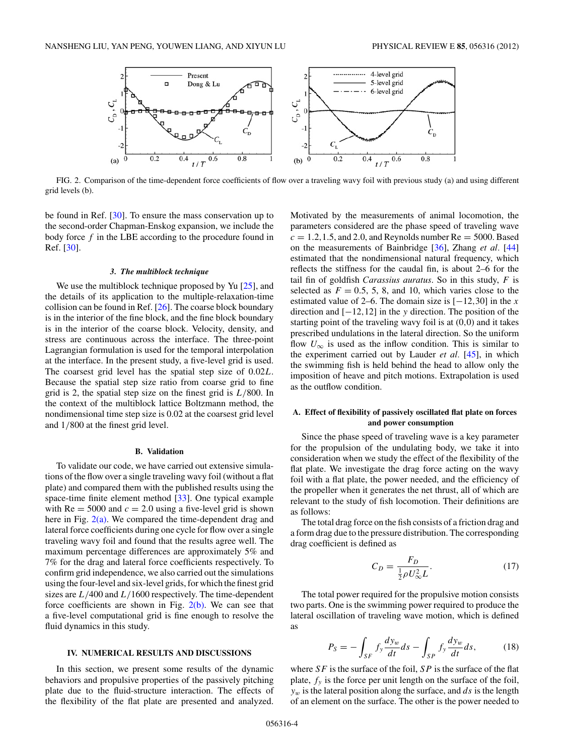<span id="page-3-0"></span>

FIG. 2. Comparison of the time-dependent force coefficients of flow over a traveling wavy foil with previous study (a) and using different grid levels (b).

be found in Ref. [\[30\]](#page-8-0). To ensure the mass conservation up to the second-order Chapman-Enskog expansion, we include the body force *f* in the LBE according to the procedure found in Ref. [\[30\]](#page-8-0).

#### *3. The multiblock technique*

We use the multiblock technique proposed by Yu [\[25\]](#page-8-0), and the details of its application to the multiple-relaxation-time collision can be found in Ref.  $[26]$ . The coarse block boundary is in the interior of the fine block, and the fine block boundary is in the interior of the coarse block. Velocity, density, and stress are continuous across the interface. The three-point Lagrangian formulation is used for the temporal interpolation at the interface. In the present study, a five-level grid is used. The coarsest grid level has the spatial step size of 0*.*02*L*. Because the spatial step size ratio from coarse grid to fine grid is 2, the spatial step size on the finest grid is *L/*800. In the context of the multiblock lattice Boltzmann method, the nondimensional time step size is 0.02 at the coarsest grid level and 1*/*800 at the finest grid level.

#### **B. Validation**

To validate our code, we have carried out extensive simulations of the flow over a single traveling wavy foil (without a flat plate) and compared them with the published results using the space-time finite element method [\[33\]](#page-8-0). One typical example with  $Re = 5000$  and  $c = 2.0$  using a five-level grid is shown here in Fig.  $2(a)$ . We compared the time-dependent drag and lateral force coefficients during one cycle for flow over a single traveling wavy foil and found that the results agree well. The maximum percentage differences are approximately 5% and 7% for the drag and lateral force coefficients respectively. To confirm grid independence, we also carried out the simulations using the four-level and six-level grids, for which the finest grid sizes are *L/*400 and *L/*1600 respectively. The time-dependent force coefficients are shown in Fig.  $2(b)$ . We can see that a five-level computational grid is fine enough to resolve the fluid dynamics in this study.

### **IV. NUMERICAL RESULTS AND DISCUSSIONS**

In this section, we present some results of the dynamic behaviors and propulsive properties of the passively pitching plate due to the fluid-structure interaction. The effects of the flexibility of the flat plate are presented and analyzed.

Motivated by the measurements of animal locomotion, the parameters considered are the phase speed of traveling wave  $c = 1.2, 1.5,$  and 2.0, and Reynolds number  $Re = 5000$ . Based on the measurements of Bainbridge [\[36\]](#page-8-0), Zhang *et al.* [\[44\]](#page-9-0) estimated that the nondimensional natural frequency, which reflects the stiffness for the caudal fin, is about 2–6 for the tail fin of goldfish *Carassius auratus*. So in this study, *F* is selected as  $F = 0.5, 5, 8,$  and 10, which varies close to the estimated value of 2–6. The domain size is  $[-12,30]$  in the *x* direction and [−12*,*12] in the *y* direction. The position of the starting point of the traveling wavy foil is at (0*,*0) and it takes prescribed undulations in the lateral direction. So the uniform flow  $U_{\infty}$  is used as the inflow condition. This is similar to the experiment carried out by Lauder *et al.* [\[45\]](#page-9-0), in which the swimming fish is held behind the head to allow only the imposition of heave and pitch motions. Extrapolation is used as the outflow condition.

# **A. Effect of flexibility of passively oscillated flat plate on forces and power consumption**

Since the phase speed of traveling wave is a key parameter for the propulsion of the undulating body, we take it into consideration when we study the effect of the flexibility of the flat plate. We investigate the drag force acting on the wavy foil with a flat plate, the power needed, and the efficiency of the propeller when it generates the net thrust, all of which are relevant to the study of fish locomotion. Their definitions are as follows:

The total drag force on the fish consists of a friction drag and a form drag due to the pressure distribution. The corresponding drag coefficient is defined as

$$
C_D = \frac{F_D}{\frac{1}{2}\rho U_{\infty}^2 L}.\tag{17}
$$

The total power required for the propulsive motion consists two parts. One is the swimming power required to produce the lateral oscillation of traveling wave motion, which is defined as

$$
P_S = -\int_{SF} f_y \frac{dy_w}{dt} ds - \int_{SF} f_y \frac{dy_w}{dt} ds, \qquad (18)
$$

where *SF* is the surface of the foil, *SP* is the surface of the flat plate,  $f_y$  is the force per unit length on the surface of the foil, *yw* is the lateral position along the surface, and *ds* is the length of an element on the surface. The other is the power needed to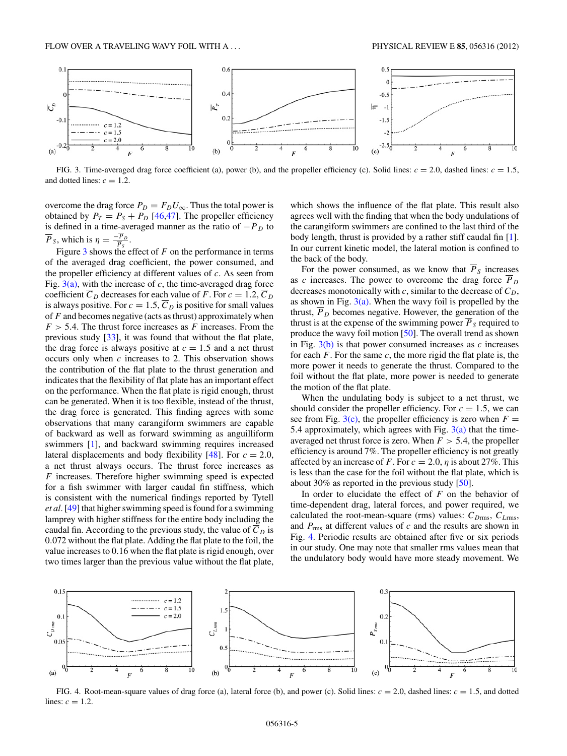

FIG. 3. Time-averaged drag force coefficient (a), power (b), and the propeller efficiency (c). Solid lines:  $c = 2.0$ , dashed lines:  $c = 1.5$ , and dotted lines:  $c = 1.2$ .

overcome the drag force  $P_D = F_D U_\infty$ . Thus the total power is obtained by  $P_T = P_S + P_D$  [\[46,47\]](#page-9-0). The propeller efficiency is defined in a time-averaged manner as the ratio of  $-\overline{P}_D$  to  $\overline{P}_S$ , which is  $\eta = \frac{-\overline{P}_D}{\overline{P}_S}$ .

Figure 3 shows the effect of *F* on the performance in terms of the averaged drag coefficient, the power consumed, and the propeller efficiency at different values of *c*. As seen from Fig.  $3(a)$ , with the increase of *c*, the time-averaged drag force coefficient  $\overline{C}_D$  decreases for each value of *F*. For  $c = 1.2$ ,  $\overline{C}_D$ is always positive. For  $c = 1.5$ ,  $\overline{C}_D$  is positive for small values of *F* and becomes negative (acts as thrust) approximately when  $F > 5.4$ . The thrust force increases as  $F$  increases. From the previous study [\[33\]](#page-8-0), it was found that without the flat plate, the drag force is always positive at  $c = 1.5$  and a net thrust occurs only when *c* increases to 2. This observation shows the contribution of the flat plate to the thrust generation and indicates that the flexibility of flat plate has an important effect on the performance. When the flat plate is rigid enough, thrust can be generated. When it is too flexible, instead of the thrust, the drag force is generated. This finding agrees with some observations that many carangiform swimmers are capable of backward as well as forward swimming as anguilliform swimmers [\[1\]](#page-8-0), and backward swimming requires increased lateral displacements and body flexibility  $[48]$ . For  $c = 2.0$ , a net thrust always occurs. The thrust force increases as *F* increases. Therefore higher swimming speed is expected for a fish swimmer with larger caudal fin stiffness, which is consistent with the numerical findings reported by Tytell *et al.*[\[49\]](#page-9-0) that higher swimming speed is found for a swimming lamprey with higher stiffness for the entire body including the caudal fin. According to the previous study, the value of  $\overline{C}_D$  is 0*.*072 without the flat plate. Adding the flat plate to the foil, the value increases to 0*.*16 when the flat plate is rigid enough, over two times larger than the previous value without the flat plate,

which shows the influence of the flat plate. This result also agrees well with the finding that when the body undulations of the carangiform swimmers are confined to the last third of the body length, thrust is provided by a rather stiff caudal fin [\[1\]](#page-8-0). In our current kinetic model, the lateral motion is confined to the back of the body.

For the power consumed, as we know that  $\overline{P}_S$  increases as *c* increases. The power to overcome the drag force *P <sup>D</sup>* decreases monotonically with  $c$ , similar to the decrease of  $C_D$ , as shown in Fig.  $3(a)$ . When the wavy foil is propelled by the thrust,  $P<sub>D</sub>$  becomes negative. However, the generation of the thrust is at the expense of the swimming power  $P<sub>S</sub>$  required to produce the wavy foil motion [\[50\]](#page-9-0). The overall trend as shown in Fig. 3(b) is that power consumed increases as *c* increases for each *F*. For the same *c*, the more rigid the flat plate is, the more power it needs to generate the thrust. Compared to the foil without the flat plate, more power is needed to generate the motion of the flat plate.

When the undulating body is subject to a net thrust, we should consider the propeller efficiency. For  $c = 1.5$ , we can see from Fig.  $3(c)$ , the propeller efficiency is zero when  $F =$ 5.4 approximately, which agrees with Fig.  $3(a)$  that the timeaveraged net thrust force is zero. When *F >* 5*.*4, the propeller efficiency is around 7%. The propeller efficiency is not greatly affected by an increase of *F*. For  $c = 2.0$ ,  $\eta$  is about 27%. This is less than the case for the foil without the flat plate, which is about 30% as reported in the previous study  $[50]$ .

In order to elucidate the effect of *F* on the behavior of time-dependent drag, lateral forces, and power required, we calculated the root-mean-square (rms) values:  $C_{D\text{rms}}$ ,  $C_{L\text{rms}}$ , and *P*rms at different values of *c* and the results are shown in Fig. 4. Periodic results are obtained after five or six periods in our study. One may note that smaller rms values mean that the undulatory body would have more steady movement. We



FIG. 4. Root-mean-square values of drag force (a), lateral force (b), and power (c). Solid lines: *c* = 2*.*0, dashed lines: *c* = 1*.*5, and dotted lines:  $c = 1.2$ .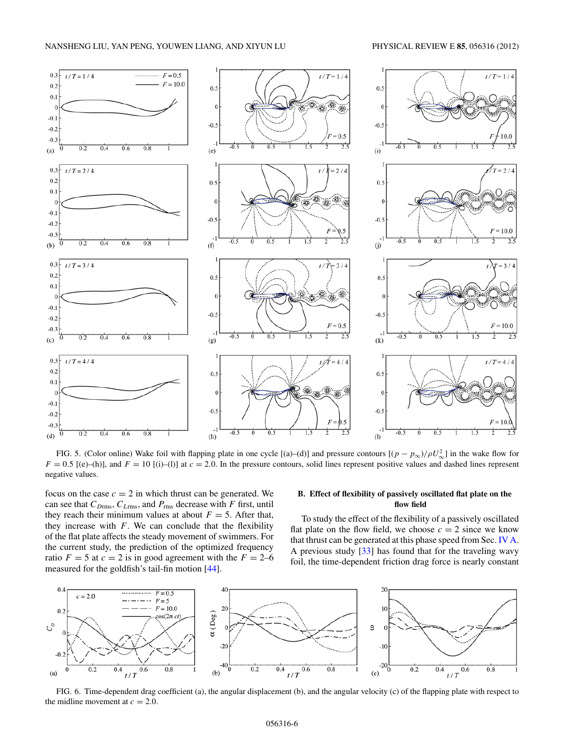<span id="page-5-0"></span>

FIG. 5. (Color online) Wake foil with flapping plate in one cycle [(a)–(d)] and pressure contours  $[(p - p_{\infty})/\rho U_{\infty}^2]$  in the wake flow for  $F = 0.5$  [(e)–(h)], and  $F = 10$  [(i)–(l)] at  $c = 2.0$ . In the pressure contours, solid lines represent positive values and dashed lines represent negative values.

focus on the case  $c = 2$  in which thrust can be generated. We can see that *CD*rms, *CL*rms, and *P*rms decrease with *F* first, until they reach their minimum values at about  $F = 5$ . After that, they increase with  $F$ . We can conclude that the flexibility of the flat plate affects the steady movement of swimmers. For the current study, the prediction of the optimized frequency ratio  $F = 5$  at  $c = 2$  is in good agreement with the  $F = 2{\text -}6$ measured for the goldfish's tail-fin motion [\[44\]](#page-9-0).

# **B. Effect of flexibility of passively oscillated flat plate on the flow field**

To study the effect of the flexibility of a passively oscillated flat plate on the flow field, we choose  $c = 2$  since we know that thrust can be generated at this phase speed from Sec. [IV A.](#page-3-0) A previous study [\[33\]](#page-8-0) has found that for the traveling wavy foil, the time-dependent friction drag force is nearly constant



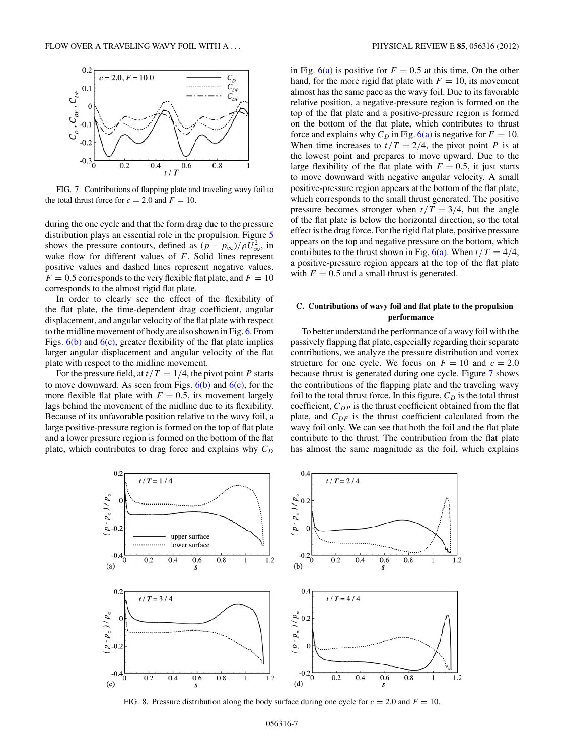<span id="page-6-0"></span>

FIG. 7. Contributions of flapping plate and traveling wavy foil to the total thrust force for  $c = 2.0$  and  $F = 10$ .

during the one cycle and that the form drag due to the pressure distribution plays an essential role in the propulsion. Figure [5](#page-5-0) shows the pressure contours, defined as  $(p - p_{\infty})/\rho U_{\infty}^2$ , in wake flow for different values of *F*. Solid lines represent positive values and dashed lines represent negative values.  $F = 0.5$  corresponds to the very flexible flat plate, and  $F = 10$ corresponds to the almost rigid flat plate.

In order to clearly see the effect of the flexibility of the flat plate, the time-dependent drag coefficient, angular displacement, and angular velocity of the flat plate with respect to the midline movement of body are also shown in Fig. [6.](#page-5-0) From Figs.  $6(b)$  and  $6(c)$ , greater flexibility of the flat plate implies larger angular displacement and angular velocity of the flat plate with respect to the midline movement.

For the pressure field, at  $t/T = 1/4$ , the pivot point *P* starts to move downward. As seen from Figs.  $6(b)$  and  $6(c)$ , for the more flexible flat plate with  $F = 0.5$ , its movement largely lags behind the movement of the midline due to its flexibility. Because of its unfavorable position relative to the wavy foil, a large positive-pressure region is formed on the top of flat plate and a lower pressure region is formed on the bottom of the flat plate, which contributes to drag force and explains why  $C_D$ 

in Fig.  $6(a)$  is positive for  $F = 0.5$  at this time. On the other hand, for the more rigid flat plate with  $F = 10$ , its movement almost has the same pace as the wavy foil. Due to its favorable relative position, a negative-pressure region is formed on the top of the flat plate and a positive-pressure region is formed on the bottom of the flat plate, which contributes to thrust force and explains why  $C_D$  in Fig. [6\(a\)](#page-5-0) is negative for  $F = 10$ . When time increases to  $t/T = 2/4$ , the pivot point *P* is at the lowest point and prepares to move upward. Due to the large flexibility of the flat plate with  $F = 0.5$ , it just starts to move downward with negative angular velocity. A small positive-pressure region appears at the bottom of the flat plate, which corresponds to the small thrust generated. The positive pressure becomes stronger when  $t/T = 3/4$ , but the angle of the flat plate is below the horizontal direction, so the total effect is the drag force. For the rigid flat plate, positive pressure appears on the top and negative pressure on the bottom, which contributes to the thrust shown in Fig.  $6(a)$ . When  $t/T = 4/4$ , a positive-pressure region appears at the top of the flat plate with  $F = 0.5$  and a small thrust is generated.

# **C. Contributions of wavy foil and flat plate to the propulsion performance**

To better understand the performance of a wavy foil with the passively flapping flat plate, especially regarding their separate contributions, we analyze the pressure distribution and vortex structure for one cycle. We focus on  $F = 10$  and  $c = 2.0$ because thrust is generated during one cycle. Figure 7 shows the contributions of the flapping plate and the traveling wavy foil to the total thrust force. In this figure,  $C_D$  is the total thrust coefficient,  $C_{DP}$  is the thrust coefficient obtained from the flat plate, and  $C_{DF}$  is the thrust coefficient calculated from the wavy foil only. We can see that both the foil and the flat plate contribute to the thrust. The contribution from the flat plate has almost the same magnitude as the foil, which explains



FIG. 8. Pressure distribution along the body surface during one cycle for  $c = 2.0$  and  $F = 10$ .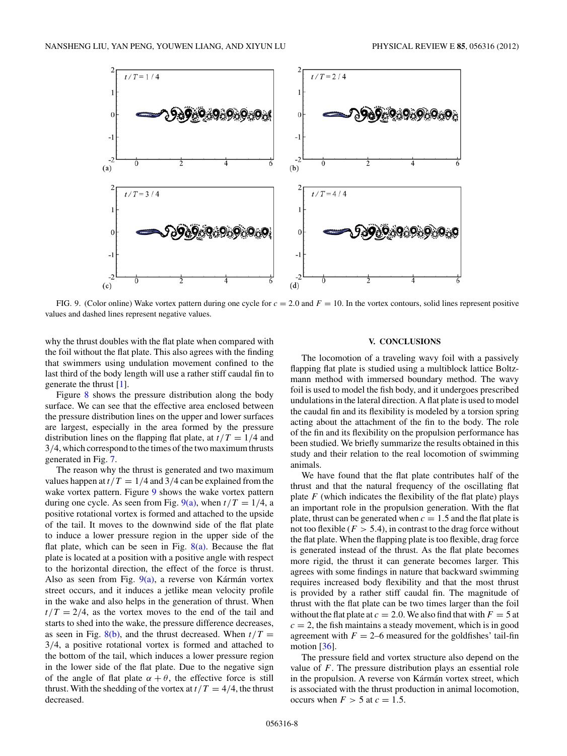<span id="page-7-0"></span>

FIG. 9. (Color online) Wake vortex pattern during one cycle for *c* = 2*.*0 and *F* = 10. In the vortex contours, solid lines represent positive values and dashed lines represent negative values.

why the thrust doubles with the flat plate when compared with the foil without the flat plate. This also agrees with the finding that swimmers using undulation movement confined to the last third of the body length will use a rather stiff caudal fin to generate the thrust [\[1\]](#page-8-0).

Figure [8](#page-6-0) shows the pressure distribution along the body surface. We can see that the effective area enclosed between the pressure distribution lines on the upper and lower surfaces are largest, especially in the area formed by the pressure distribution lines on the flapping flat plate, at  $t/T = 1/4$  and 3*/*4, which correspond to the times of the two maximum thrusts generated in Fig. [7.](#page-6-0)

The reason why the thrust is generated and two maximum values happen at  $t/T = 1/4$  and 3/4 can be explained from the wake vortex pattern. Figure 9 shows the wake vortex pattern during one cycle. As seen from Fig.  $9(a)$ , when  $t/T = 1/4$ , a positive rotational vortex is formed and attached to the upside of the tail. It moves to the downwind side of the flat plate to induce a lower pressure region in the upper side of the flat plate, which can be seen in Fig.  $8(a)$ . Because the flat plate is located at a position with a positive angle with respect to the horizontal direction, the effect of the force is thrust. Also as seen from Fig.  $9(a)$ , a reverse von Kármán vortex street occurs, and it induces a jetlike mean velocity profile in the wake and also helps in the generation of thrust. When  $t/T = 2/4$ , as the vortex moves to the end of the tail and starts to shed into the wake, the pressure difference decreases, as seen in Fig.  $8(b)$ , and the thrust decreased. When  $t/T =$ 3*/*4, a positive rotational vortex is formed and attached to the bottom of the tail, which induces a lower pressure region in the lower side of the flat plate. Due to the negative sign of the angle of flat plate  $\alpha + \theta$ , the effective force is still thrust. With the shedding of the vortex at  $t/T = 4/4$ , the thrust decreased.

# **V. CONCLUSIONS**

The locomotion of a traveling wavy foil with a passively flapping flat plate is studied using a multiblock lattice Boltzmann method with immersed boundary method. The wavy foil is used to model the fish body, and it undergoes prescribed undulations in the lateral direction. A flat plate is used to model the caudal fin and its flexibility is modeled by a torsion spring acting about the attachment of the fin to the body. The role of the fin and its flexibility on the propulsion performance has been studied. We briefly summarize the results obtained in this study and their relation to the real locomotion of swimming animals.

We have found that the flat plate contributes half of the thrust and that the natural frequency of the oscillating flat plate  $F$  (which indicates the flexibility of the flat plate) plays an important role in the propulsion generation. With the flat plate, thrust can be generated when  $c = 1.5$  and the flat plate is not too flexible  $(F > 5.4)$ , in contrast to the drag force without the flat plate. When the flapping plate is too flexible, drag force is generated instead of the thrust. As the flat plate becomes more rigid, the thrust it can generate becomes larger. This agrees with some findings in nature that backward swimming requires increased body flexibility and that the most thrust is provided by a rather stiff caudal fin. The magnitude of thrust with the flat plate can be two times larger than the foil without the flat plate at  $c = 2.0$ . We also find that with  $F = 5$  at  $c = 2$ , the fish maintains a steady movement, which is in good agreement with  $F = 2-6$  measured for the goldfishes' tail-fin motion  $[36]$ .

The pressure field and vortex structure also depend on the value of *F*. The pressure distribution plays an essential role in the propulsion. A reverse von Kármán vortex street, which is associated with the thrust production in animal locomotion, occurs when  $F > 5$  at  $c = 1.5$ .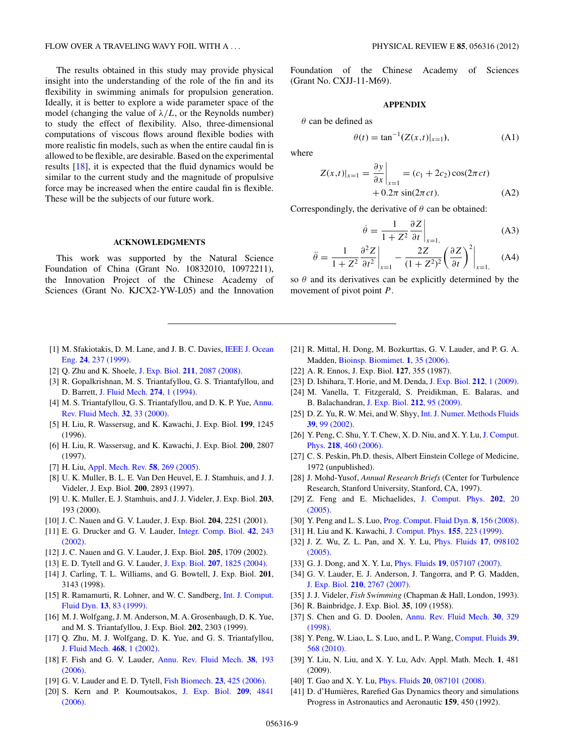<span id="page-8-0"></span>The results obtained in this study may provide physical insight into the understanding of the role of the fin and its flexibility in swimming animals for propulsion generation. Ideally, it is better to explore a wide parameter space of the model (changing the value of  $\lambda/L$ , or the Reynolds number) to study the effect of flexibility. Also, three-dimensional computations of viscous flows around flexible bodies with more realistic fin models, such as when the entire caudal fin is allowed to be flexible, are desirable. Based on the experimental results [18], it is expected that the fluid dynamics would be similar to the current study and the magnitude of propulsive force may be increased when the entire caudal fin is flexible. These will be the subjects of our future work.

# **ACKNOWLEDGMENTS**

This work was supported by the Natural Science Foundation of China (Grant No. 10832010, 10972211), the Innovation Project of the Chinese Academy of Sciences (Grant No. KJCX2-YW-L05) and the Innovation Foundation of the Chinese Academy of Sciences (Grant No. CXJJ-11-M69).

#### **APPENDIX**

*θ* can be defined as

$$
\theta(t) = \tan^{-1}(Z(x,t)|_{x=1}),
$$
 (A1)

where

$$
Z(x,t)|_{x=1} = \frac{\partial y}{\partial x}\Big|_{x=1} = (c_1 + 2c_2)\cos(2\pi ct) + 0.2\pi \sin(2\pi ct).
$$
 (A2)

Correspondingly, the derivative of *θ* can be obtained:

$$
\dot{\theta} = \frac{1}{1 + Z^2} \frac{\partial Z}{\partial t} \bigg|_{x=1,}
$$
 (A3)

$$
\ddot{\theta} = \frac{1}{1+Z^2} \frac{\partial^2 Z}{\partial t^2} \bigg|_{x=1} - \frac{2Z}{(1+Z^2)^2} \bigg(\frac{\partial Z}{\partial t}\bigg)^2 \bigg|_{x=1,}
$$
 (A4)

so  $\theta$  and its derivatives can be explicitly determined by the movement of pivot point *P*.

- [1] M. Sfakiotakis, D. M. Lane, and J. B. C. Davies, [IEEE J. Ocean](http://dx.doi.org/10.1109/48.757275) Eng. **24**[, 237 \(1999\).](http://dx.doi.org/10.1109/48.757275)
- [2] Q. Zhu and K. Shoele, J. Exp. Biol. **211**[, 2087 \(2008\).](http://dx.doi.org/10.1242/jeb.016279)
- [3] R. Gopalkrishnan, M. S. Triantafyllou, G. S. Triantafyllou, and D. Barrett, [J. Fluid Mech.](http://dx.doi.org/10.1017/S0022112094002016) **274**, 1 (1994).
- [4] M. S. Triantafyllou, G. S. Triantafyllou, and D. K. P. Yue, [Annu.](http://dx.doi.org/10.1146/annurev.fluid.32.1.33) [Rev. Fluid Mech.](http://dx.doi.org/10.1146/annurev.fluid.32.1.33) **32**, 33 (2000).
- [5] H. Liu, R. Wassersug, and K. Kawachi, J. Exp. Biol. **199**, 1245 (1996).
- [6] H. Liu, R. Wassersug, and K. Kawachi, J. Exp. Biol. **200**, 2807 (1997).
- [7] H. Liu, [Appl. Mech. Rev.](http://dx.doi.org/10.1115/1.1946047) **58**, 269 (2005).
- [8] U. K. Muller, B. L. E. Van Den Heuvel, E. J. Stamhuis, and J. J. Videler, J. Exp. Biol. **200**, 2893 (1997).
- [9] U. K. Muller, E. J. Stamhuis, and J. J. Videler, J. Exp. Biol. **203**, 193 (2000).
- [10] J. C. Nauen and G. V. Lauder, J. Exp. Biol. **204**, 2251 (2001).
- [11] E. G. Drucker and G. V. Lauder, [Integr. Comp. Biol.](http://dx.doi.org/10.1093/icb/42.2.243) **42**, 243 [\(2002\).](http://dx.doi.org/10.1093/icb/42.2.243)
- [12] J. C. Nauen and G. V. Lauder, J. Exp. Biol. **205**, 1709 (2002).
- [13] E. D. Tytell and G. V. Lauder, J. Exp. Biol. **207**[, 1825 \(2004\).](http://dx.doi.org/10.1242/jeb.00968)
- [14] J. Carling, T. L. Williams, and G. Bowtell, J. Exp. Biol. **201**, 3143 (1998).
- [15] R. Ramamurti, R. Lohner, and W. C. Sandberg, *[Int. J. Comput.](http://dx.doi.org/10.1080/10618569908940891)* Fluid Dyn. **13**[, 83 \(1999\).](http://dx.doi.org/10.1080/10618569908940891)
- [16] M. J. Wolfgang, J. M. Anderson, M. A. Grosenbaugh, D. K. Yue, and M. S. Triantafyllou, J. Exp. Biol. **202**, 2303 (1999).
- [17] Q. Zhu, M. J. Wolfgang, D. K. Yue, and G. S. Triantafyllou, [J. Fluid Mech.](http://dx.doi.org/10.1017/S002211200200143X) **468**, 1 (2002).
- [18] F. Fish and G. V. Lauder, [Annu. Rev. Fluid Mech.](http://dx.doi.org/10.1146/annurev.fluid.38.050304.092201) **38**, 193 [\(2006\).](http://dx.doi.org/10.1146/annurev.fluid.38.050304.092201)
- [19] G. V. Lauder and E. D. Tytell, [Fish Biomech.](http://dx.doi.org/10.1016/S1546-5098(05)23011-X) **23**, 425 (2006).
- [20] S. Kern and P. Koumoutsakos, [J. Exp. Biol.](http://dx.doi.org/10.1242/jeb.02526) **209**, 4841 [\(2006\).](http://dx.doi.org/10.1242/jeb.02526)
- [21] R. Mittal, H. Dong, M. Bozkurttas, G. V. Lauder, and P. G. A. Madden, [Bioinsp. Biomimet.](http://dx.doi.org/10.1088/1748-3182/1/4/S05) **1**, 35 (2006).
- [22] A. R. Ennos, J. Exp. Biol. **127**, 355 (1987).
- [23] D. Ishihara, T. Horie, and M. Denda, [J. Exp. Biol.](http://dx.doi.org/10.1242/jeb.020404) **212**, 1 (2009).
- [24] M. Vanella, T. Fitzgerald, S. Preidikman, E. Balaras, and B. Balachandran, [J. Exp. Biol.](http://dx.doi.org/10.1242/jeb.016428) **212**, 95 (2009).
- [25] D. Z. Yu, R. W. Mei, and W. Shyy, [Int. J. Numer. Methods Fluids](http://dx.doi.org/10.1002/fld.280) **39**[, 99 \(2002\).](http://dx.doi.org/10.1002/fld.280)
- [26] Y. Peng, C. Shu, Y. T. Chew, X. D. Niu, and X. Y. Lu, [J. Comput.](http://dx.doi.org/10.1016/j.jcp.2006.02.017) Phys. **218**[, 460 \(2006\).](http://dx.doi.org/10.1016/j.jcp.2006.02.017)
- [27] C. S. Peskin, Ph.D. thesis, Albert Einstein College of Medicine, 1972 (unpublished).
- [28] J. Mohd-Yusof, *Annual Research Briefs* (Center for Turbulence Research, Stanford University, Stanford, CA, 1997).
- [29] Z. Feng and E. Michaelides, [J. Comput. Phys.](http://dx.doi.org/10.1016/j.jcp.2004.06.020) **202**, 20 [\(2005\).](http://dx.doi.org/10.1016/j.jcp.2004.06.020)
- [30] Y. Peng and L. S. Luo, [Prog. Comput. Fluid Dyn.](http://dx.doi.org/10.1504/PCFD.2008.018086) **8**, 156 (2008).
- [31] H. Liu and K. Kawachi, [J. Comput. Phys.](http://dx.doi.org/10.1006/jcph.1999.6341) **155**, 223 (1999).
- [32] J. Z. Wu, Z. L. Pan, and X. Y. Lu, [Phys. Fluids](http://dx.doi.org/10.1063/1.2055528) **17**, 098102 [\(2005\).](http://dx.doi.org/10.1063/1.2055528)
- [33] G. J. Dong, and X. Y. Lu, Phys. Fluids **19**[, 057107 \(2007\).](http://dx.doi.org/10.1063/1.2736083)
- [34] G. V. Lauder, E. J. Anderson, J. Tangorra, and P. G. Madden, J. Exp. Biol. **210**[, 2767 \(2007\).](http://dx.doi.org/10.1242/jeb.000265)
- [35] J. J. Videler, *Fish Swimming* (Chapman & Hall, London, 1993).
- [36] R. Bainbridge, J. Exp. Biol. **35**, 109 (1958).
- [37] S. Chen and G. D. Doolen, [Annu. Rev. Fluid Mech.](http://dx.doi.org/10.1146/annurev.fluid.30.1.329) **30**, 329 [\(1998\).](http://dx.doi.org/10.1146/annurev.fluid.30.1.329)
- [38] Y. Peng, W. Liao, L. S. Luo, and L. P. Wang, [Comput. Fluids](http://dx.doi.org/10.1016/j.compfluid.2009.10.002) **39**, [568 \(2010\).](http://dx.doi.org/10.1016/j.compfluid.2009.10.002)
- [39] Y. Liu, N. Liu, and X. Y. Lu, Adv. Appl. Math. Mech. **1**, 481 (2009).
- [40] T. Gao and X. Y. Lu, Phys. Fluids **20**[, 087101 \(2008\).](http://dx.doi.org/10.1063/1.2958318)
- [41] D. d'Humières, Rarefied Gas Dynamics theory and simulations Progress in Astronautics and Aeronautic **159**, 450 (1992).